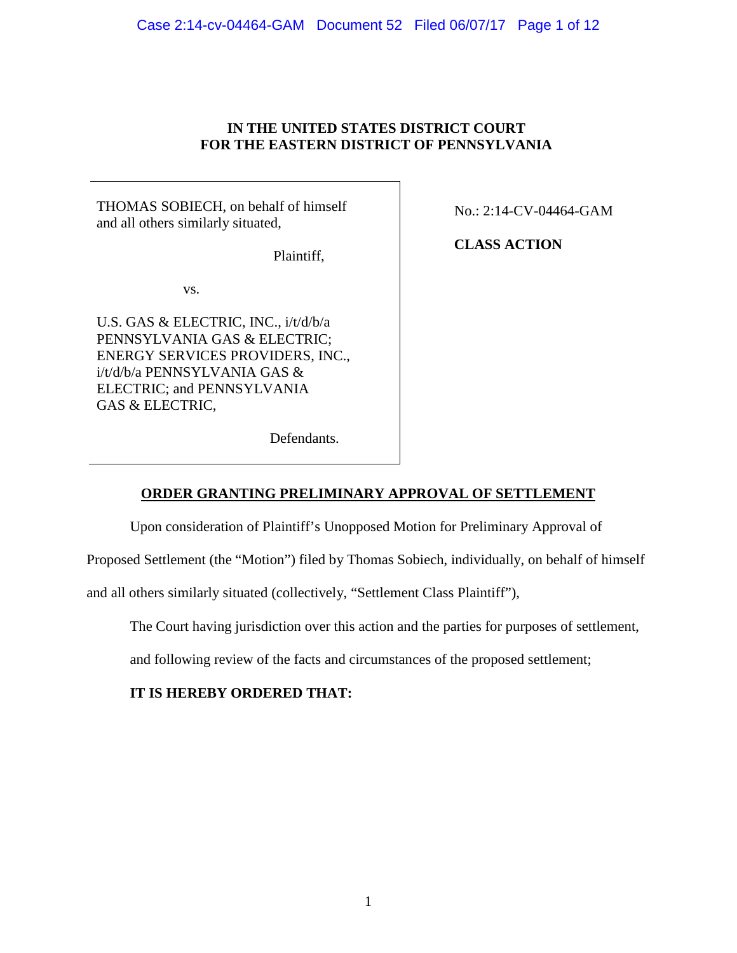# **IN THE UNITED STATES DISTRICT COURT FOR THE EASTERN DISTRICT OF PENNSYLVANIA**

THOMAS SOBIECH, on behalf of himself and all others similarly situated,

Plaintiff,

vs.

U.S. GAS & ELECTRIC, INC., i/t/d/b/a PENNSYLVANIA GAS & ELECTRIC; ENERGY SERVICES PROVIDERS, INC., i/t/d/b/a PENNSYLVANIA GAS & ELECTRIC; and PENNSYLVANIA GAS & ELECTRIC,

No.: 2:14-CV-04464-GAM

**CLASS ACTION**

Defendants.

# **ORDER GRANTING PRELIMINARY APPROVAL OF SETTLEMENT**

Upon consideration of Plaintiff's Unopposed Motion for Preliminary Approval of

Proposed Settlement (the "Motion") filed by Thomas Sobiech, individually, on behalf of himself

and all others similarly situated (collectively, "Settlement Class Plaintiff"),

The Court having jurisdiction over this action and the parties for purposes of settlement,

and following review of the facts and circumstances of the proposed settlement;

# **IT IS HEREBY ORDERED THAT:**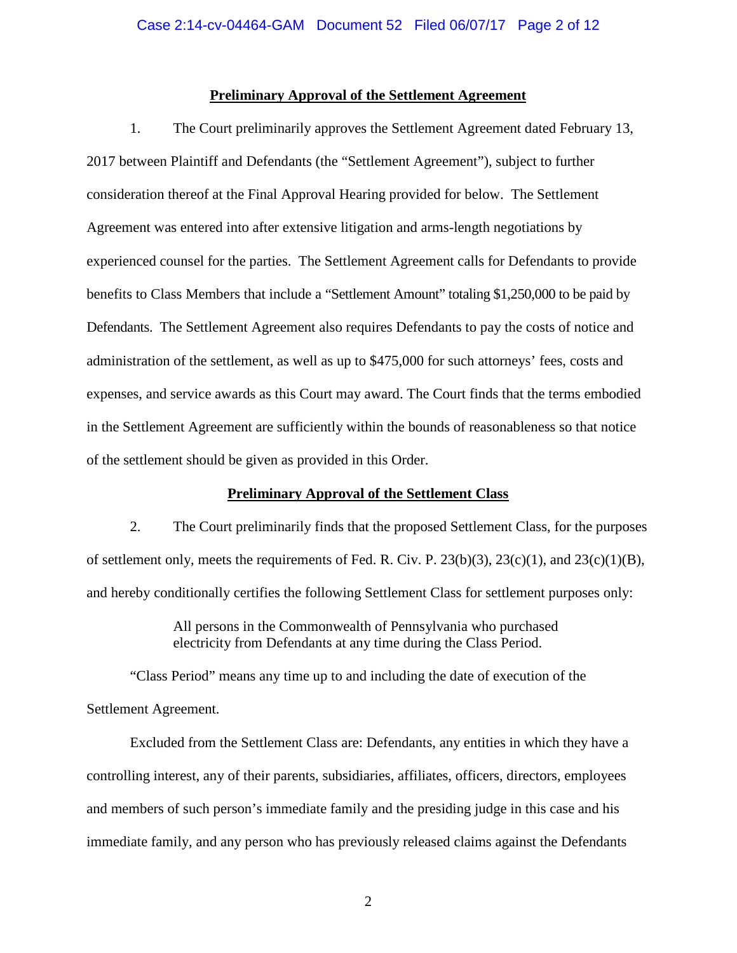### **Preliminary Approval of the Settlement Agreement**

1. The Court preliminarily approves the Settlement Agreement dated February 13, 2017 between Plaintiff and Defendants (the "Settlement Agreement"), subject to further consideration thereof at the Final Approval Hearing provided for below. The Settlement Agreement was entered into after extensive litigation and arms-length negotiations by experienced counsel for the parties. The Settlement Agreement calls for Defendants to provide benefits to Class Members that include a "Settlement Amount" totaling \$1,250,000 to be paid by Defendants. The Settlement Agreement also requires Defendants to pay the costs of notice and administration of the settlement, as well as up to \$475,000 for such attorneys' fees, costs and expenses, and service awards as this Court may award. The Court finds that the terms embodied in the Settlement Agreement are sufficiently within the bounds of reasonableness so that notice of the settlement should be given as provided in this Order.

#### **Preliminary Approval of the Settlement Class**

2. The Court preliminarily finds that the proposed Settlement Class, for the purposes of settlement only, meets the requirements of Fed. R. Civ. P. 23(b)(3), 23(c)(1), and 23(c)(1)(B), and hereby conditionally certifies the following Settlement Class for settlement purposes only:

> All persons in the Commonwealth of Pennsylvania who purchased electricity from Defendants at any time during the Class Period.

"Class Period" means any time up to and including the date of execution of the Settlement Agreement.

Excluded from the Settlement Class are: Defendants, any entities in which they have a controlling interest, any of their parents, subsidiaries, affiliates, officers, directors, employees and members of such person's immediate family and the presiding judge in this case and his immediate family, and any person who has previously released claims against the Defendants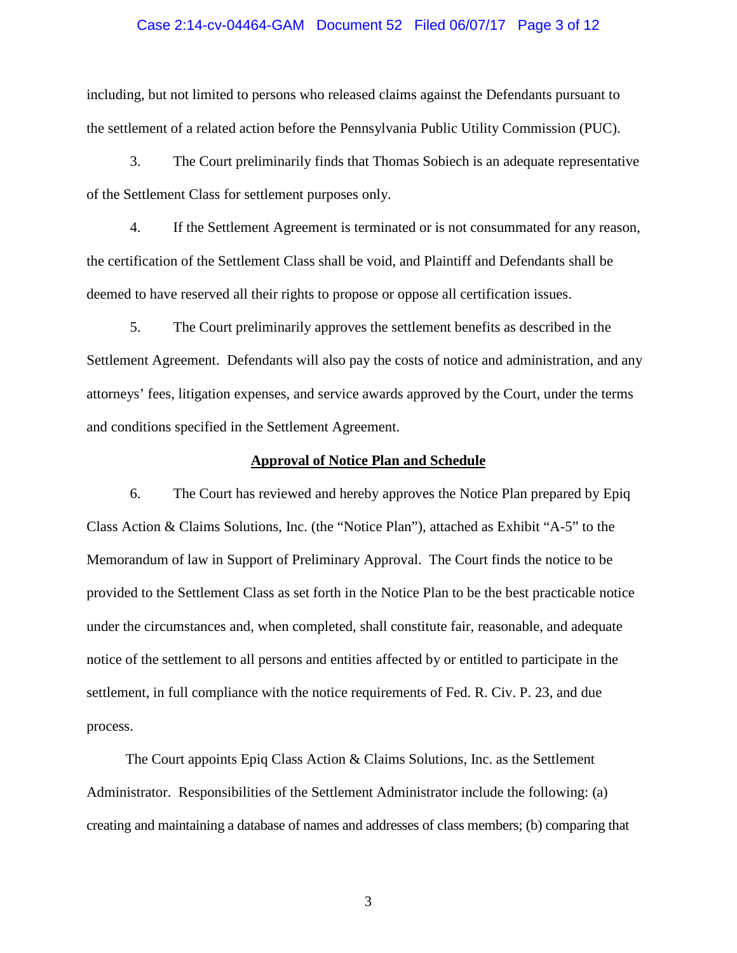#### Case 2:14-cv-04464-GAM Document 52 Filed 06/07/17 Page 3 of 12

including, but not limited to persons who released claims against the Defendants pursuant to the settlement of a related action before the Pennsylvania Public Utility Commission (PUC).

3. The Court preliminarily finds that Thomas Sobiech is an adequate representative of the Settlement Class for settlement purposes only.

4. If the Settlement Agreement is terminated or is not consummated for any reason, the certification of the Settlement Class shall be void, and Plaintiff and Defendants shall be deemed to have reserved all their rights to propose or oppose all certification issues.

5. The Court preliminarily approves the settlement benefits as described in the Settlement Agreement. Defendants will also pay the costs of notice and administration, and any attorneys' fees, litigation expenses, and service awards approved by the Court, under the terms and conditions specified in the Settlement Agreement.

#### **Approval of Notice Plan and Schedule**

6. The Court has reviewed and hereby approves the Notice Plan prepared by Epiq Class Action & Claims Solutions, Inc. (the "Notice Plan"), attached as Exhibit "A-5" to the Memorandum of law in Support of Preliminary Approval. The Court finds the notice to be provided to the Settlement Class as set forth in the Notice Plan to be the best practicable notice under the circumstances and, when completed, shall constitute fair, reasonable, and adequate notice of the settlement to all persons and entities affected by or entitled to participate in the settlement, in full compliance with the notice requirements of Fed. R. Civ. P. 23, and due process.

The Court appoints Epiq Class Action & Claims Solutions, Inc. as the Settlement Administrator. Responsibilities of the Settlement Administrator include the following: (a) creating and maintaining a database of names and addresses of class members; (b) comparing that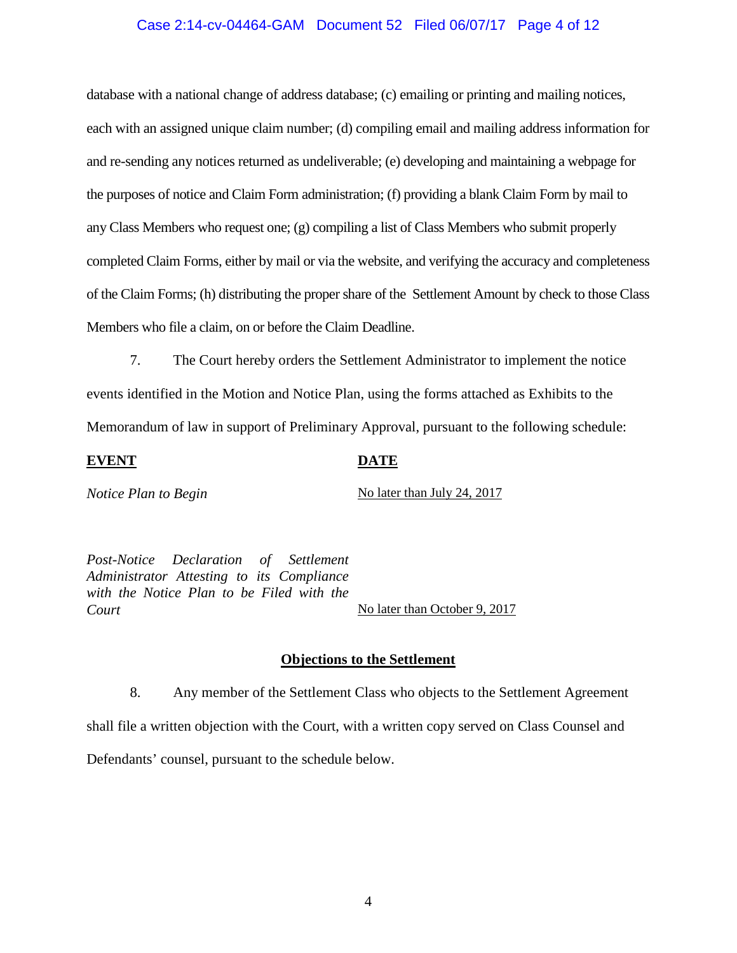### Case 2:14-cv-04464-GAM Document 52 Filed 06/07/17 Page 4 of 12

database with a national change of address database; (c) emailing or printing and mailing notices, each with an assigned unique claim number; (d) compiling email and mailing address information for and re-sending any notices returned as undeliverable; (e) developing and maintaining a webpage for the purposes of notice and Claim Form administration; (f) providing a blank Claim Form by mail to any Class Members who request one; (g) compiling a list of Class Members who submit properly completed Claim Forms, either by mail or via the website, and verifying the accuracy and completeness of the Claim Forms; (h) distributing the proper share of the Settlement Amount by check to those Class Members who file a claim, on or before the Claim Deadline.

7. The Court hereby orders the Settlement Administrator to implement the notice events identified in the Motion and Notice Plan, using the forms attached as Exhibits to the Memorandum of law in support of Preliminary Approval, pursuant to the following schedule:

#### **EVENT DATE**

*Notice Plan to Begin* No later than July 24, 2017

*Post-Notice Declaration of Settlement Administrator Attesting to its Compliance with the Notice Plan to be Filed with the Court* No later than October 9, 2017

#### **Objections to the Settlement**

8. Any member of the Settlement Class who objects to the Settlement Agreement shall file a written objection with the Court, with a written copy served on Class Counsel and Defendants' counsel, pursuant to the schedule below.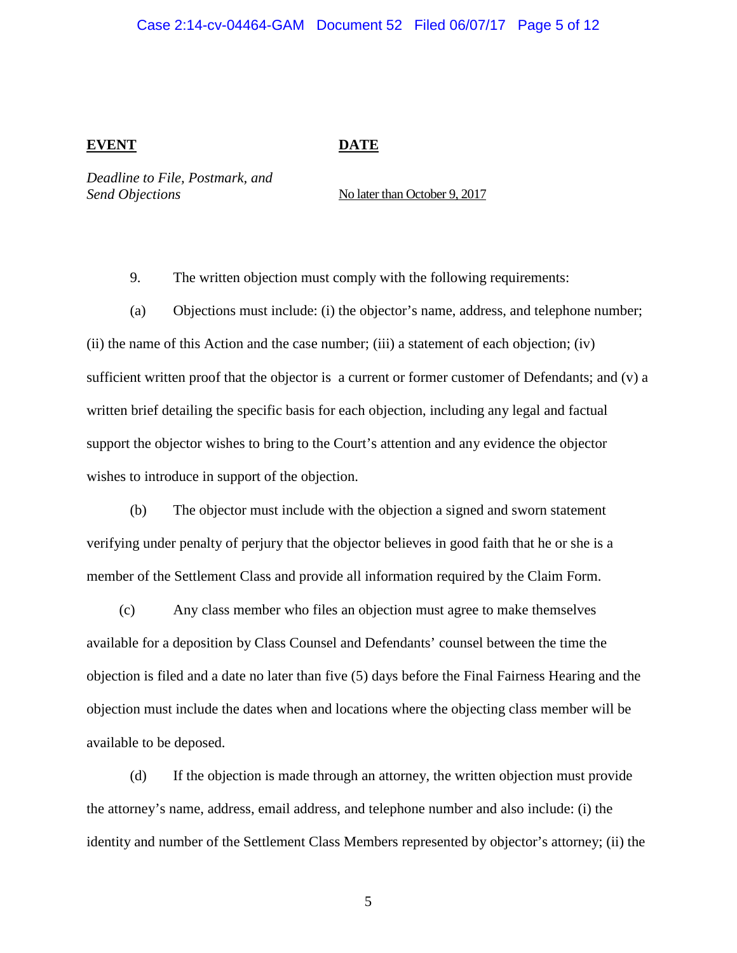#### Case 2:14-cv-04464-GAM Document 52 Filed 06/07/17 Page 5 of 12

#### **EVENT DATE**

*Deadline to File, Postmark, and Send Objections* No later than October 9, 2017

9. The written objection must comply with the following requirements:

(a) Objections must include: (i) the objector's name, address, and telephone number; (ii) the name of this Action and the case number; (iii) a statement of each objection; (iv) sufficient written proof that the objector is a current or former customer of Defendants; and (v) a written brief detailing the specific basis for each objection, including any legal and factual support the objector wishes to bring to the Court's attention and any evidence the objector wishes to introduce in support of the objection.

(b) The objector must include with the objection a signed and sworn statement verifying under penalty of perjury that the objector believes in good faith that he or she is a member of the Settlement Class and provide all information required by the Claim Form.

(c) Any class member who files an objection must agree to make themselves available for a deposition by Class Counsel and Defendants' counsel between the time the objection is filed and a date no later than five (5) days before the Final Fairness Hearing and the objection must include the dates when and locations where the objecting class member will be available to be deposed.

(d) If the objection is made through an attorney, the written objection must provide the attorney's name, address, email address, and telephone number and also include: (i) the identity and number of the Settlement Class Members represented by objector's attorney; (ii) the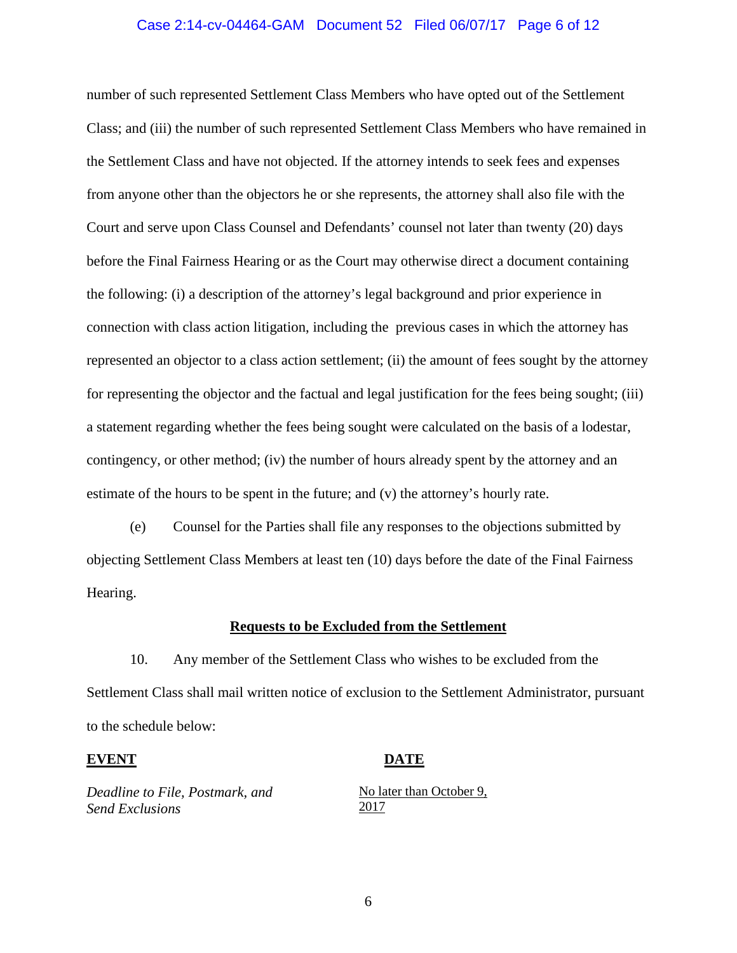#### Case 2:14-cv-04464-GAM Document 52 Filed 06/07/17 Page 6 of 12

number of such represented Settlement Class Members who have opted out of the Settlement Class; and (iii) the number of such represented Settlement Class Members who have remained in the Settlement Class and have not objected. If the attorney intends to seek fees and expenses from anyone other than the objectors he or she represents, the attorney shall also file with the Court and serve upon Class Counsel and Defendants' counsel not later than twenty (20) days before the Final Fairness Hearing or as the Court may otherwise direct a document containing the following: (i) a description of the attorney's legal background and prior experience in connection with class action litigation, including the previous cases in which the attorney has represented an objector to a class action settlement; (ii) the amount of fees sought by the attorney for representing the objector and the factual and legal justification for the fees being sought; (iii) a statement regarding whether the fees being sought were calculated on the basis of a lodestar, contingency, or other method; (iv) the number of hours already spent by the attorney and an estimate of the hours to be spent in the future; and (v) the attorney's hourly rate.

(e) Counsel for the Parties shall file any responses to the objections submitted by objecting Settlement Class Members at least ten (10) days before the date of the Final Fairness Hearing.

#### **Requests to be Excluded from the Settlement**

10. Any member of the Settlement Class who wishes to be excluded from the Settlement Class shall mail written notice of exclusion to the Settlement Administrator, pursuant to the schedule below:

#### **EVENT** DATE

*Deadline to File, Postmark, and Send Exclusions*

No later than October 9, 2017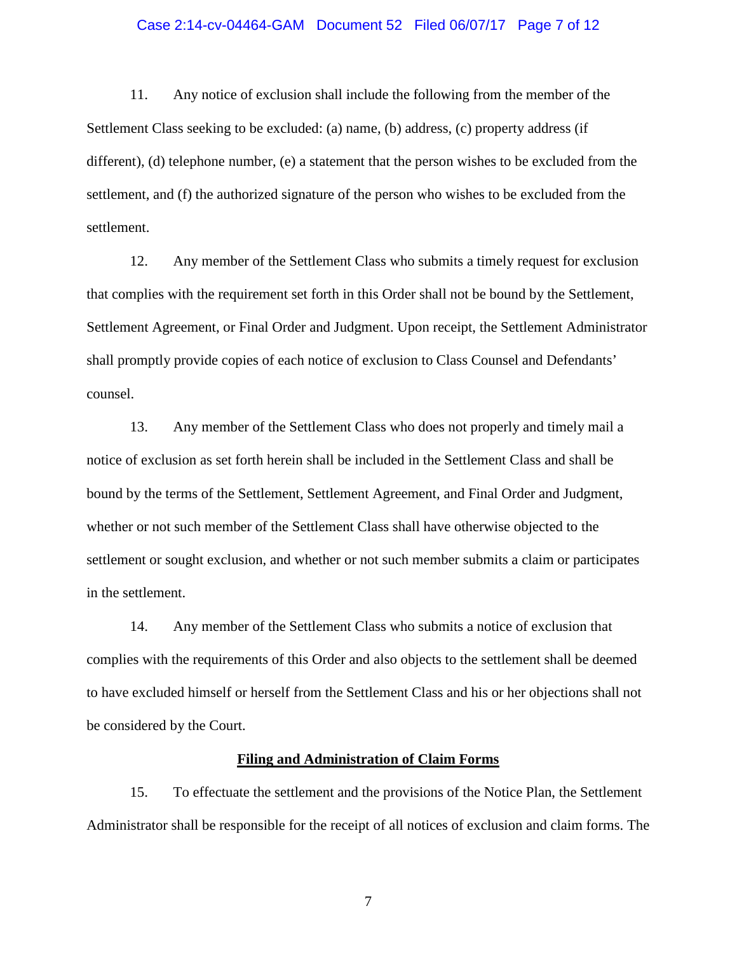#### Case 2:14-cv-04464-GAM Document 52 Filed 06/07/17 Page 7 of 12

11. Any notice of exclusion shall include the following from the member of the Settlement Class seeking to be excluded: (a) name, (b) address, (c) property address (if different), (d) telephone number, (e) a statement that the person wishes to be excluded from the settlement, and (f) the authorized signature of the person who wishes to be excluded from the settlement.

12. Any member of the Settlement Class who submits a timely request for exclusion that complies with the requirement set forth in this Order shall not be bound by the Settlement, Settlement Agreement, or Final Order and Judgment. Upon receipt, the Settlement Administrator shall promptly provide copies of each notice of exclusion to Class Counsel and Defendants' counsel.

13. Any member of the Settlement Class who does not properly and timely mail a notice of exclusion as set forth herein shall be included in the Settlement Class and shall be bound by the terms of the Settlement, Settlement Agreement, and Final Order and Judgment, whether or not such member of the Settlement Class shall have otherwise objected to the settlement or sought exclusion, and whether or not such member submits a claim or participates in the settlement.

14. Any member of the Settlement Class who submits a notice of exclusion that complies with the requirements of this Order and also objects to the settlement shall be deemed to have excluded himself or herself from the Settlement Class and his or her objections shall not be considered by the Court.

#### **Filing and Administration of Claim Forms**

15. To effectuate the settlement and the provisions of the Notice Plan, the Settlement Administrator shall be responsible for the receipt of all notices of exclusion and claim forms. The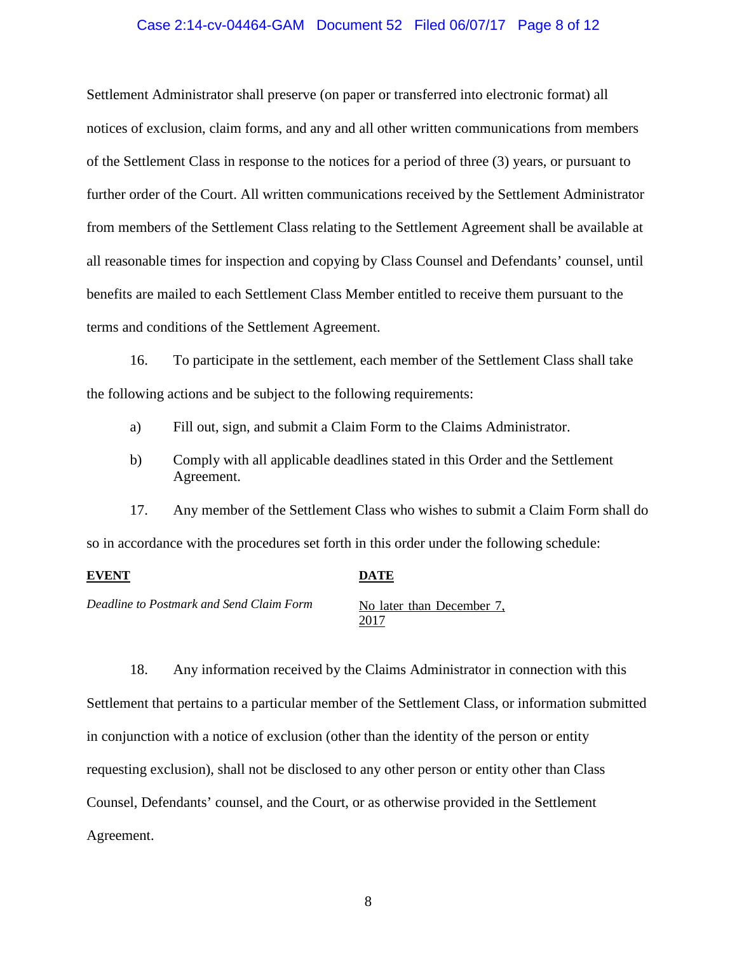#### Case 2:14-cv-04464-GAM Document 52 Filed 06/07/17 Page 8 of 12

Settlement Administrator shall preserve (on paper or transferred into electronic format) all notices of exclusion, claim forms, and any and all other written communications from members of the Settlement Class in response to the notices for a period of three (3) years, or pursuant to further order of the Court. All written communications received by the Settlement Administrator from members of the Settlement Class relating to the Settlement Agreement shall be available at all reasonable times for inspection and copying by Class Counsel and Defendants' counsel, until benefits are mailed to each Settlement Class Member entitled to receive them pursuant to the terms and conditions of the Settlement Agreement.

16. To participate in the settlement, each member of the Settlement Class shall take the following actions and be subject to the following requirements:

- a) Fill out, sign, and submit a Claim Form to the Claims Administrator.
- b) Comply with all applicable deadlines stated in this Order and the Settlement Agreement.

17. Any member of the Settlement Class who wishes to submit a Claim Form shall do so in accordance with the procedures set forth in this order under the following schedule:

#### **EVENT DATE**

*Deadline to Postmark and Send Claim Form* No later than December 7,

2017

18. Any information received by the Claims Administrator in connection with this Settlement that pertains to a particular member of the Settlement Class, or information submitted in conjunction with a notice of exclusion (other than the identity of the person or entity requesting exclusion), shall not be disclosed to any other person or entity other than Class Counsel, Defendants' counsel, and the Court, or as otherwise provided in the Settlement Agreement.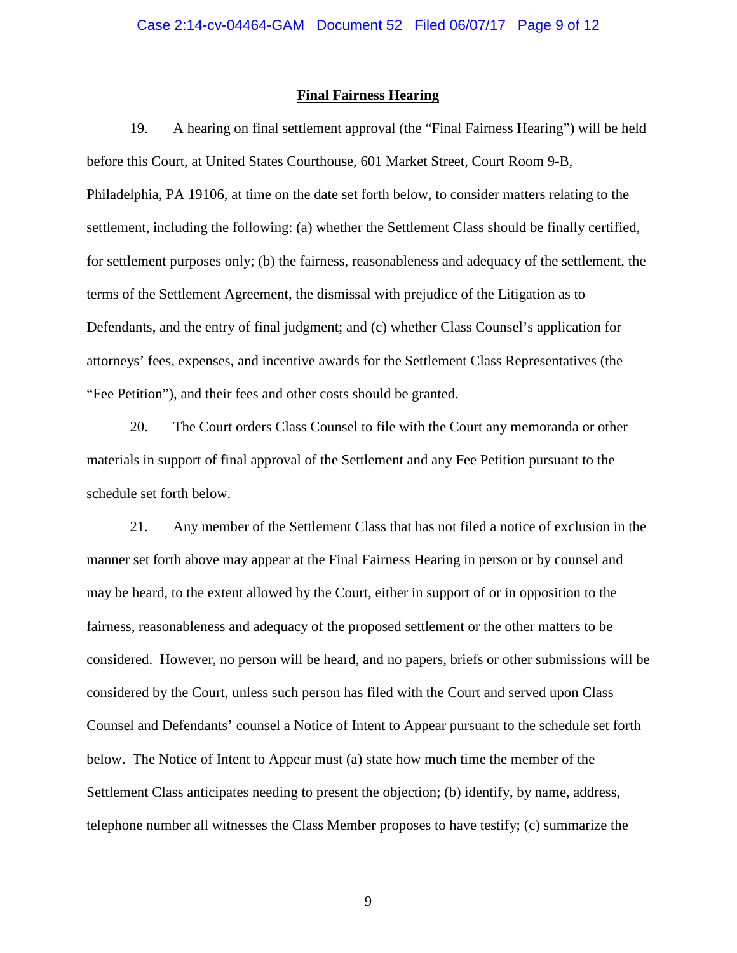#### **Final Fairness Hearing**

19. A hearing on final settlement approval (the "Final Fairness Hearing") will be held before this Court, at United States Courthouse, 601 Market Street, Court Room 9-B, Philadelphia, PA 19106, at time on the date set forth below, to consider matters relating to the settlement, including the following: (a) whether the Settlement Class should be finally certified, for settlement purposes only; (b) the fairness, reasonableness and adequacy of the settlement, the terms of the Settlement Agreement, the dismissal with prejudice of the Litigation as to Defendants, and the entry of final judgment; and (c) whether Class Counsel's application for attorneys' fees, expenses, and incentive awards for the Settlement Class Representatives (the "Fee Petition"), and their fees and other costs should be granted.

20. The Court orders Class Counsel to file with the Court any memoranda or other materials in support of final approval of the Settlement and any Fee Petition pursuant to the schedule set forth below.

21. Any member of the Settlement Class that has not filed a notice of exclusion in the manner set forth above may appear at the Final Fairness Hearing in person or by counsel and may be heard, to the extent allowed by the Court, either in support of or in opposition to the fairness, reasonableness and adequacy of the proposed settlement or the other matters to be considered. However, no person will be heard, and no papers, briefs or other submissions will be considered by the Court, unless such person has filed with the Court and served upon Class Counsel and Defendants' counsel a Notice of Intent to Appear pursuant to the schedule set forth below. The Notice of Intent to Appear must (a) state how much time the member of the Settlement Class anticipates needing to present the objection; (b) identify, by name, address, telephone number all witnesses the Class Member proposes to have testify; (c) summarize the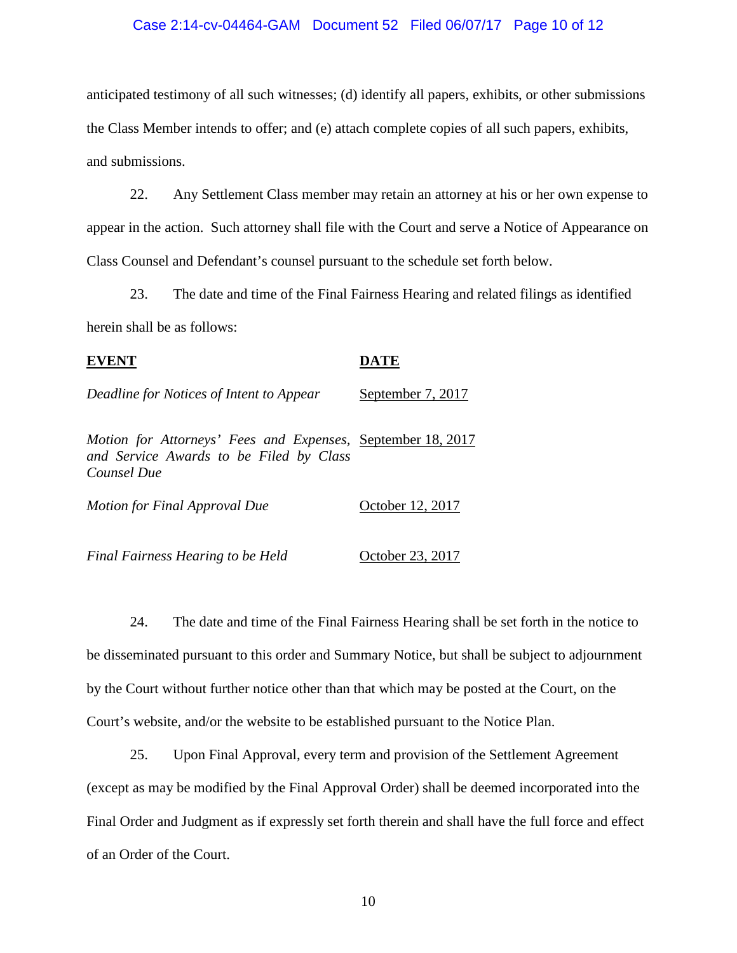### Case 2:14-cv-04464-GAM Document 52 Filed 06/07/17 Page 10 of 12

anticipated testimony of all such witnesses; (d) identify all papers, exhibits, or other submissions the Class Member intends to offer; and (e) attach complete copies of all such papers, exhibits, and submissions.

22. Any Settlement Class member may retain an attorney at his or her own expense to appear in the action. Such attorney shall file with the Court and serve a Notice of Appearance on Class Counsel and Defendant's counsel pursuant to the schedule set forth below.

23. The date and time of the Final Fairness Hearing and related filings as identified herein shall be as follows:

| Deadline for Notices of Intent to Appear                                                                              | September 7, 2017 |
|-----------------------------------------------------------------------------------------------------------------------|-------------------|
| Motion for Attorneys' Fees and Expenses, September 18, 2017<br>and Service Awards to be Filed by Class<br>Counsel Due |                   |
| Motion for Final Approval Due                                                                                         | October 12, 2017  |

*Final Fairness Hearing to be Held* **October 23, 2017** 

24. The date and time of the Final Fairness Hearing shall be set forth in the notice to be disseminated pursuant to this order and Summary Notice, but shall be subject to adjournment by the Court without further notice other than that which may be posted at the Court, on the Court's website, and/or the website to be established pursuant to the Notice Plan.

25. Upon Final Approval, every term and provision of the Settlement Agreement (except as may be modified by the Final Approval Order) shall be deemed incorporated into the Final Order and Judgment as if expressly set forth therein and shall have the full force and effect of an Order of the Court.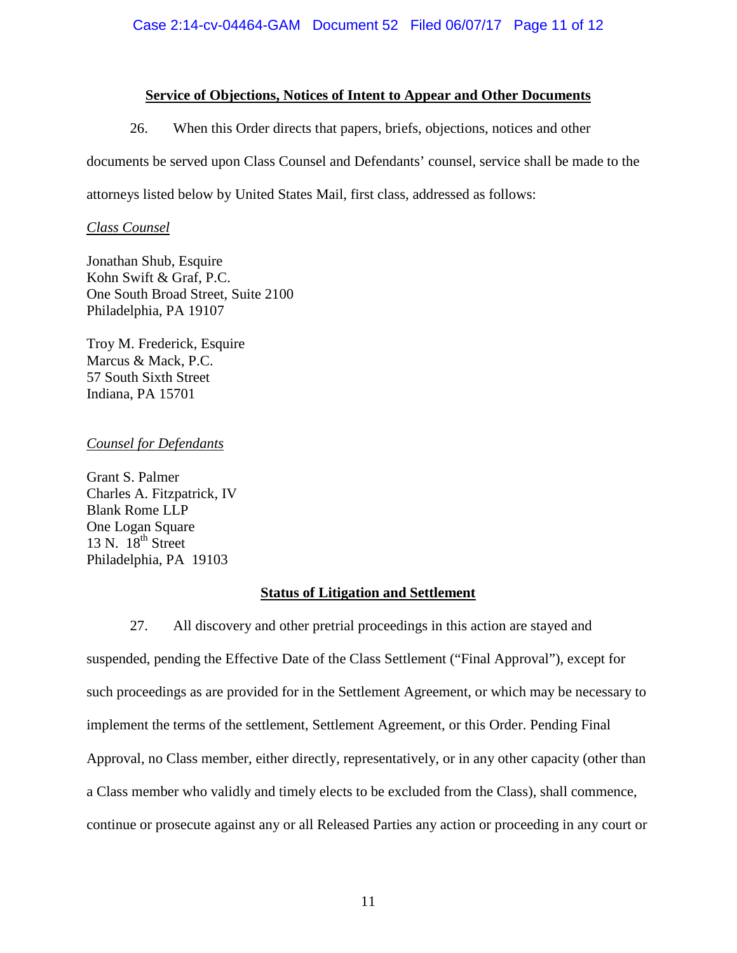# **Service of Objections, Notices of Intent to Appear and Other Documents**

26. When this Order directs that papers, briefs, objections, notices and other documents be served upon Class Counsel and Defendants' counsel, service shall be made to the attorneys listed below by United States Mail, first class, addressed as follows:

## *Class Counsel*

Jonathan Shub, Esquire Kohn Swift & Graf, P.C. One South Broad Street, Suite 2100 Philadelphia, PA 19107

Troy M. Frederick, Esquire Marcus & Mack, P.C. 57 South Sixth Street Indiana, PA 15701

# *Counsel for Defendants*

Grant S. Palmer Charles A. Fitzpatrick, IV Blank Rome LLP One Logan Square 13 N.  $18^{th}$  Street Philadelphia, PA 19103

# **Status of Litigation and Settlement**

27. All discovery and other pretrial proceedings in this action are stayed and suspended, pending the Effective Date of the Class Settlement ("Final Approval"), except for such proceedings as are provided for in the Settlement Agreement, or which may be necessary to implement the terms of the settlement, Settlement Agreement, or this Order. Pending Final Approval, no Class member, either directly, representatively, or in any other capacity (other than a Class member who validly and timely elects to be excluded from the Class), shall commence, continue or prosecute against any or all Released Parties any action or proceeding in any court or